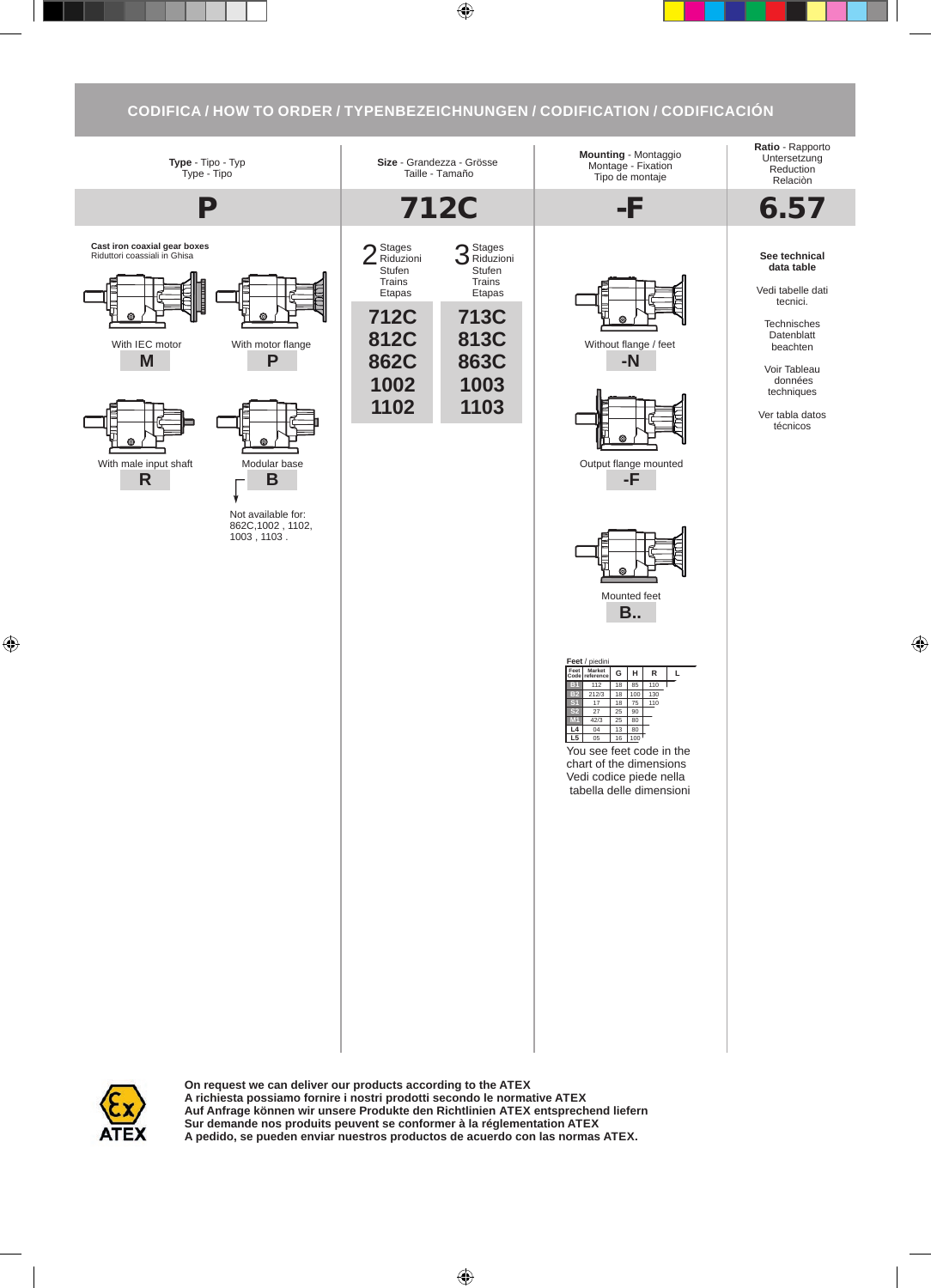## **CODIFICA / HOW TO ORDER / TYPENBEZEICHNUNGEN / CODIFICATION / CODIFICACIÓN**



**On request we can deliver our products according to the ATEX A richiesta possiamo fornire i nostri prodotti secondo le normative ATEX Auf Anfrage können wir unsere Produkte den Richtlinien ATEX entsprechend liefern Sur demande nos produits peuvent se conformer à la réglementation ATEX A pedido, se pueden enviar nuestros productos de acuerdo con las normas ATEX.**